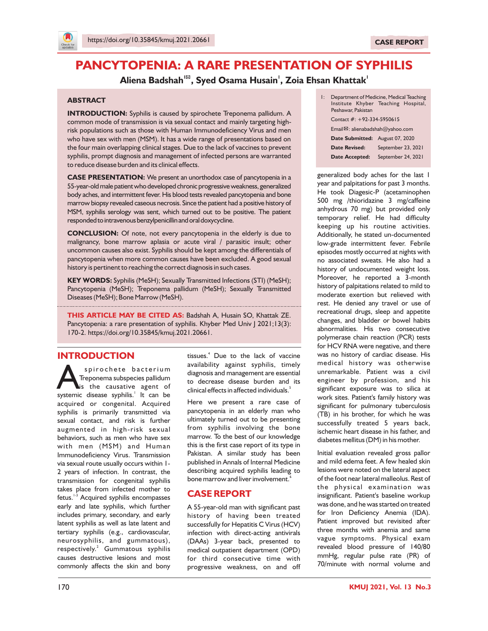

# **PANCYTOPENIA: A RARE PRESENTATION OF SYPHILIS**

## **<sup>1</sup> <sup>1</sup> <sup>1</sup> Aliena Badshah , Syed Osama Husain , Zoia Ehsan Khattak**

#### **ABSTRACT**

**INTRODUCTION:** Syphilis is caused by spirochete Treponema pallidum. A common mode of transmission is via sexual contact and mainly targeting highrisk populations such as those with Human Immunodeficiency Virus and men who have sex with men (MSM). It has a wide range of presentations based on the four main overlapping clinical stages. Due to the lack of vaccines to prevent syphilis, prompt diagnosis and management of infected persons are warranted to reduce disease burden and its clinical effects.

**CASE PRESENTATION:** We present an unorthodox case of pancytopenia in a 55-year-old male patient who developed chronic progressive weakness, generalized body aches, and intermittent fever. His blood tests revealed pancytopenia and bone marrow biopsy revealed caseous necrosis. Since the patient had a positive history of MSM, syphilis serology was sent, which turned out to be positive. The patient responded to intravenous benzylpenicillin and oral doxycycline.

**CONCLUSION:** Of note, not every pancytopenia in the elderly is due to malignancy, bone marrow aplasia or acute viral / parasitic insult; other uncommon causes also exist. Syphilis should be kept among the differentials of pancytopenia when more common causes have been excluded. A good sexual history is pertinent to reaching the correct diagnosis in such cases.

**KEY WORDS:** Syphilis (MeSH); Sexually Transmitted Infections (STI) (MeSH); Pancytopenia (MeSH); Treponema pallidum (MeSH); Sexually Transmitted Diseases (MeSH); Bone Marrow (MeSH).

**THIS ARTICLE MAY BE CITED AS:** Badshah A, Husain SO, Khattak ZE. Pancytopenia: a rare presentation of syphilis. Khyber Med Univ | 2021;13(3): 170-2. https://doi.org/10.35845/kmuj.2021.20661.

## **INTRODUCTION**

Spirochete bacterium<br>Treponema subspecies pallidum<br>Is the causative agent of<br>systemic disease syphilis.<sup>1</sup> It can be spirochete bacterium Treponema subspecies pallidum is the causative agent of acquired or congenital. Acquired syphilis is primarily transmitted via sexual contact, and risk is further augmented in high-risk sexual behaviors, such as men who have sex with men (MSM) and Human Immunodeficiency Virus. Transmission via sexual route usually occurs within 1- 2 years of infection. In contrast, the transmission for congenital syphilis takes place from infected mother to fetus.<sup>1-3</sup> Acquired syphilis encompasses early and late syphilis, which further includes primary, secondary, and early latent syphilis as well as late latent and tertiary syphilis (e.g., cardiovascular, neurosyphilis, and gummatous), respectively.<sup>2</sup> Gummatous syphilis causes destructive lesions and most commonly affects the skin and bony

tissues.<sup>4</sup> Due to the lack of vaccine availability against syphilis, timely diagnosis and management are essential to decrease disease burden and its 5 clinical effects in affected individuals.

Here we present a rare case of pancytopenia in an elderly man who ultimately turned out to be presenting from syphilis involving the bone marrow. To the best of our knowledge this is the first case report of its type in Pakistan. A similar study has been published in Annals of Internal Medicine describing acquired syphilis leading to 6 bone marrow and liver involvement.

## **CASE REPORT**

A 55-year-old man with significant past history of having been treated successfully for Hepatitis C Virus (HCV) infection with direct-acting antivirals (DAAs) 3-year back, presented to medical outpatient department (OPD) for third consecutive time with progressive weakness, on and off

| I: | Peshawar, Pakistan                           | Department of Medicine, Medical Teaching<br>Institute Khyber Teaching Hospital, |  |
|----|----------------------------------------------|---------------------------------------------------------------------------------|--|
|    |                                              | Contact $\#$ : +92-334-5950615                                                  |  |
|    | Email <sup>2</sup> : alienabadshah@yahoo.com |                                                                                 |  |
|    | Date Submitted: August 07, 2020              |                                                                                 |  |
|    | <b>Date Revised:</b>                         | September 23, 2021                                                              |  |
|    | <b>Date Accepted:</b>                        | September 24, 2021                                                              |  |

generalized body aches for the last 1 year and palpitations for past 3 months. He took Diagesic-P (acetaminophen 500 mg /thioridazine 3 mg/caffeine anhydrous 70 mg) but provided only temporary relief. He had difficulty keeping up his routine activities. Additionally, he stated un-documented low-grade intermittent fever. Febrile episodes mostly occurred at nights with no associated sweats. He also had a history of undocumented weight loss. Moreover, he reported a 3-month history of palpitations related to mild to moderate exertion but relieved with rest. He denied any travel or use of recreational drugs, sleep and appetite changes, and bladder or bowel habits abnormalities. His two consecutive polymerase chain reaction (PCR) tests for HCV RNA were negative, and there was no history of cardiac disease. His medical history was otherwise unremarkable. Patient was a civil engineer by profession, and his significant exposure was to silica at work sites. Patient's family history was significant for pulmonary tuberculosis (TB) in his brother, for which he was successfully treated 5 years back, ischemic heart disease in his father, and diabetes mellitus (DM) in his mother.

Initial evaluation revealed gross pallor and mild edema feet. A few healed skin lesions were noted on the lateral aspect of the foot near lateral malleolus. Rest of the physical examination was insignificant. Patient's baseline workup was done, and he was started on treated for Iron Deficiency Anemia (IDA). Patient improved but revisited after three months with anemia and same vague symptoms. Physical exam revealed blood pressure of 140/80 mmHg, regular pulse rate (PR) of 70/minute with normal volume and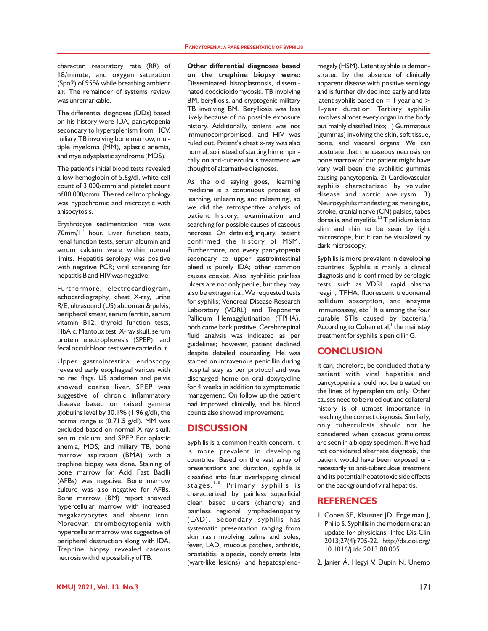character, respiratory rate (RR) of 18/minute, and oxygen saturation (Spo2) of 95% while breathing ambient air. The remainder of systems review was unremarkable.

The differential diagnoses (DDs) based on his history were IDA, pancytopenia secondary to hypersplenism from HCV, miliary TB involving bone marrow, multiple myeloma (MM), aplastic anemia, and myelodysplastic syndrome (MDS).

The patient's initial blood tests revealed a low hemoglobin of 5.6g/dl, white cell count of 3,000/cmm and platelet count of 80,000/cmm.The red cellmorphology was hypochromic and microcytic with anisocytosis.

Erythrocyte sedimentation rate was  $70$ mm/1 $\mathrm{s}$ <sup>t</sup> hour. Liver function tests, renal function tests, serum albumin and serum calcium were within normal limits. Hepatitis serology was positive with negative PCR; viral screening for hepatitis B and HIV was negative.

Furthermore, electrocardiogram, echocardiography, chest X-ray, urine R/E, ultrasound (US) abdomen & pelvis, peripheral smear, serum ferritin, serum vitamin B12, thyroid function tests, HbA,c, Mantoux test, X-ray skull, serum protein electrophoresis (SPEP), and fecal occult blood test were carried out.

Upper gastrointestinal endoscopy revealed early esophageal varices with no red flags. US abdomen and pelvis showed coarse liver. SPEP was suggestive of chronic inflammatory disease based on raised gamma globulins level by 30.1% (1.96 g/dl), the normal range is (0.71.5 g/dl). MM was excluded based on normal X-ray skull, serum calcium, and SPEP. For aplastic anemia, MDS, and miliary TB, bone marrow aspiration (BMA) with a trephine biopsy was done. Staining of bone marrow for Acid Fast Bacilli (AFBs) was negative. Bone marrow culture was also negative for AFBs. Bone marrow (BM) report showed hypercellular marrow with increased megakaryocytes and absent iron. Moreover, thrombocytopenia with hypercellular marrow was suggestive of peripheral destruction along with IDA. Trephine biopsy revealed caseous necrosis with the possibility of TB.

**Other differential diagnoses based on the trephine biopsy were:** Disseminated histoplasmosis, disseminated coccidioidomycosis, TB involving BM, berylliosis, and cryptogenic military TB involving BM. Berylliosis was less likely because of no possible exposure history. Additionally, patient was not immunocompromised, and HIV was ruled out. Patient's chest x-ray was also normal, so instead of starting him empirically on anti-tuberculous treatment we thought of alternative diagnoses.

As the old saying goes, 'learning medicine is a continuous process of learning, unlearning, and relearning', so we did the retrospective analysis of patient history, examination and searching for possible causes of caseous necrosis. On detailed inquiry, patient confirmed the history of MSM. Furthermore, not every pancytopenia secondary to upper gastrointestinal bleed is purely IDA; other common causes coexist. Also, syphilitic painless ulcers are not only penile, but they may also be extragenital. We requested tests for syphilis; Venereal Disease Research Laboratory (VDRL) and Treponema Pallidum Hemagglutination (TPHA), both came back positive. Cerebrospinal fluid analysis was indicated as per guidelines; however, patient declined despite detailed counseling. He was started on intravenous penicillin during hospital stay as per protocol and was discharged home on oral doxycycline for 4 weeks in addition to symptomatic management. On follow up the patient had improved clinically, and his blood counts also showed improvement.

### **DISCUSSION**

Syphilis is a common health concern. It is more prevalent in developing countries. Based on the vast array of presentations and duration, syphilis is classified into four overlapping clinical stages.'<sup>, 5</sup> Primary syphilis is characterized by painless superficial clean based ulcers (chancre) and painless regional lymphadenopathy (LAD). Secondary syphilis has systematic presentation ranging from skin rash involving palms and soles, fever, LAD, mucous patches, arthritis, prostatitis, alopecia, condylomata lata (wart-like lesions), and hepatosplenomegaly (HSM). Latent syphilis is demonstrated by the absence of clinically apparent disease with positive serology and is further divided into early and late latent syphilis based on  $= 1$  year and  $> 1$ 1-year duration. Tertiary syphilis involves almost every organ in the body but mainly classified into; 1) Gummatous (gummas) involving the skin, soft tissue, bone, and visceral organs. We can postulate that the caseous necrosis on bone marrow of our patient might have very well been the syphilitic gummas causing pancytopenia. 2) Cardiovascular syphilis characterized by valvular disease and aortic aneurysm. 3) Neurosyphilis manifesting as meningitis, stroke, cranial nerve (CN) palsies, tabes dorsalis, and myelitis.  $23$  T pallidum is too slim and thin to be seen by light microscope, but it can be visualized by dark microscopy.

Syphilis is more prevalent in developing countries. Syphilis is mainly a clinical diagnosis and is confirmed by serologic tests, such as VDRL, rapid plasma reagin, TPHA, fluorescent treponemal pallidum absorption, and enzyme immunoassay, etc. $^{\prime}$  It is among the four curable STIs caused by bacteria.<sup>7</sup> According to Cohen et al;<sup>1</sup> the mainstay treatment for syphilis is penicillin G.

## **CONCLUSION**

It can, therefore, be concluded that any patient with viral hepatitis and pancytopenia should not be treated on the lines of hypersplenism only. Other causes need to be ruled out and collateral history is of utmost importance in reaching the correct diagnosis. Similarly, only tuberculosis should not be considered when caseous granulomas are seen in a biopsy specimen. If we had not considered alternate diagnosis, the patient would have been exposed unnecessarily to anti-tuberculous treatment and its potential hepatotoxic side effects on the background of viral hepatitis.

## **REFERENCES**

- 1. Cohen SE, Klausner JD, Engelman J, Philip S. Syphilis in the modern era: an update for physicians. Infec Dis Clin 2013;27(4):705-22. http://dx.doi.org/ 10.1016/j.idc.2013.08.005.
- 2. Janier Á, Hegyi V, Dupin N, Unemo